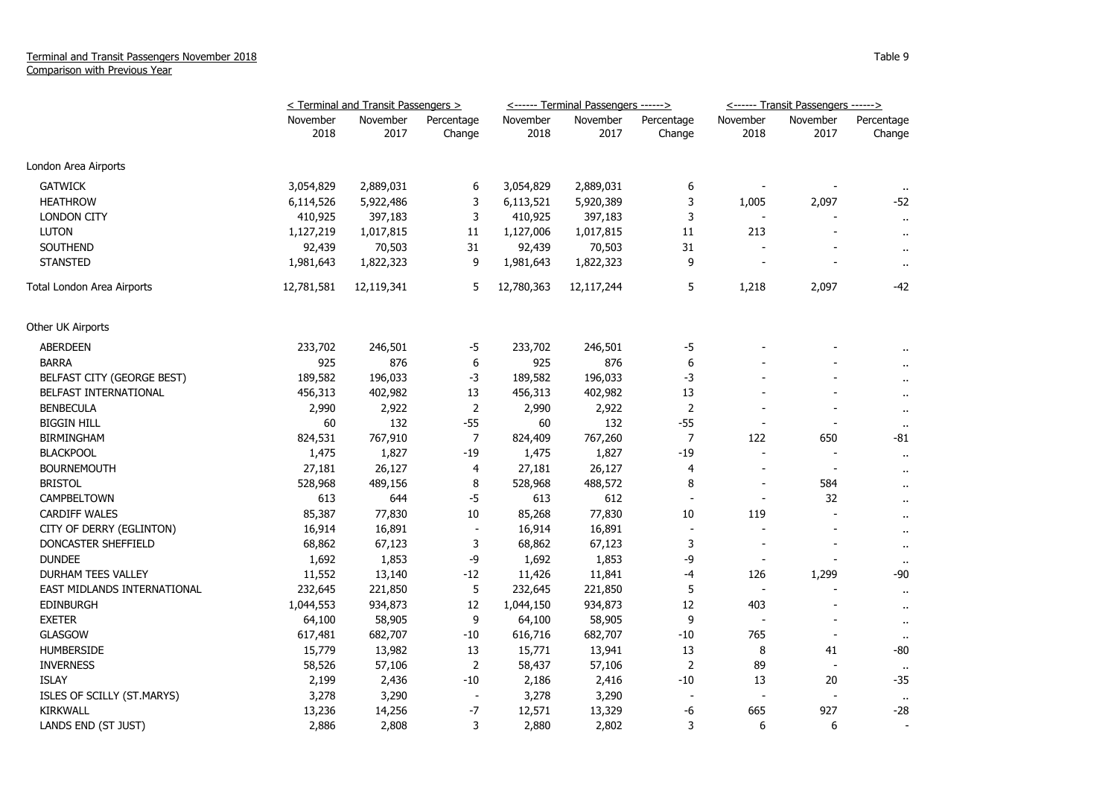|                             | < Terminal and Transit Passengers > |                  |                          |                  | <------ Terminal Passengers ------> |                      | <------ Transit Passengers ------> |                          |                      |
|-----------------------------|-------------------------------------|------------------|--------------------------|------------------|-------------------------------------|----------------------|------------------------------------|--------------------------|----------------------|
|                             | November<br>2018                    | November<br>2017 | Percentage<br>Change     | November<br>2018 | November<br>2017                    | Percentage<br>Change | November<br>2018                   | November<br>2017         | Percentage<br>Change |
|                             |                                     |                  |                          |                  |                                     |                      |                                    |                          |                      |
| London Area Airports        |                                     |                  |                          |                  |                                     |                      |                                    |                          |                      |
| <b>GATWICK</b>              | 3,054,829                           | 2,889,031        | 6                        | 3,054,829        | 2,889,031                           | 6                    |                                    |                          | $\sim$               |
| <b>HEATHROW</b>             | 6,114,526                           | 5,922,486        | 3                        | 6,113,521        | 5,920,389                           | 3                    | 1,005                              | 2,097                    | $-52$                |
| <b>LONDON CITY</b>          | 410,925                             | 397,183          | 3                        | 410,925          | 397,183                             | 3                    |                                    |                          | $\mathbf{u}$         |
| <b>LUTON</b>                | 1,127,219                           | 1,017,815        | 11                       | 1,127,006        | 1,017,815                           | 11                   | 213                                | $\overline{a}$           | $\mathbf{r}$ .       |
| <b>SOUTHEND</b>             | 92,439                              | 70,503           | 31                       | 92,439           | 70,503                              | 31                   |                                    |                          | $\ddot{\phantom{1}}$ |
| <b>STANSTED</b>             | 1,981,643                           | 1,822,323        | 9                        | 1,981,643        | 1,822,323                           | 9                    |                                    |                          | $\blacksquare$       |
| Total London Area Airports  | 12,781,581                          | 12,119,341       | 5                        | 12,780,363       | 12,117,244                          | 5                    | 1,218                              | 2,097                    | -42                  |
| Other UK Airports           |                                     |                  |                          |                  |                                     |                      |                                    |                          |                      |
| <b>ABERDEEN</b>             | 233,702                             | 246,501          | $-5$                     | 233,702          | 246,501                             | $-5$                 |                                    |                          |                      |
| <b>BARRA</b>                | 925                                 | 876              | 6                        | 925              | 876                                 | 6                    |                                    |                          |                      |
| BELFAST CITY (GEORGE BEST)  | 189,582                             | 196,033          | $-3$                     | 189,582          | 196,033                             | -3                   |                                    |                          | $\ddot{\phantom{1}}$ |
| BELFAST INTERNATIONAL       | 456,313                             | 402,982          | 13                       | 456,313          | 402,982                             | 13                   |                                    |                          | $\ddot{\phantom{a}}$ |
| <b>BENBECULA</b>            | 2,990                               | 2,922            | $\overline{2}$           | 2,990            | 2,922                               | $\overline{2}$       |                                    |                          | $\cdot$ .            |
| <b>BIGGIN HILL</b>          | 60                                  | 132              | $-55$                    | 60               | 132                                 | $-55$                | L,                                 | $\blacksquare$           | $\sim$               |
| <b>BIRMINGHAM</b>           | 824,531                             | 767,910          | $\overline{7}$           | 824,409          | 767,260                             | $\overline{7}$       | 122                                | 650                      | -81                  |
| <b>BLACKPOOL</b>            | 1,475                               | 1,827            | $-19$                    | 1,475            | 1,827                               | $-19$                | $\overline{a}$                     | $\blacksquare$           | $\sim$               |
| <b>BOURNEMOUTH</b>          | 27,181                              | 26,127           | 4                        | 27,181           | 26,127                              | 4                    | $\blacksquare$                     | $\blacksquare$           | $\ddot{\phantom{1}}$ |
| <b>BRISTOL</b>              | 528,968                             | 489,156          | 8                        | 528,968          | 488,572                             | 8                    | $\overline{\phantom{a}}$           | 584                      | $\ddot{\phantom{1}}$ |
| CAMPBELTOWN                 | 613                                 | 644              | $-5$                     | 613              | 612                                 | $\blacksquare$       | $\blacksquare$                     | 32                       | $\sim$               |
| <b>CARDIFF WALES</b>        | 85,387                              | 77,830           | 10                       | 85,268           | 77,830                              | 10                   | 119                                | $\overline{\phantom{a}}$ | $\ddot{\phantom{1}}$ |
| CITY OF DERRY (EGLINTON)    | 16,914                              | 16,891           | $\overline{\phantom{a}}$ | 16,914           | 16,891                              | $\overline{a}$       |                                    |                          | $\mathbf{r}$ .       |
| DONCASTER SHEFFIELD         | 68,862                              | 67,123           | 3                        | 68,862           | 67,123                              | 3                    |                                    |                          | $\ddot{\phantom{1}}$ |
| <b>DUNDEE</b>               | 1,692                               | 1,853            | -9                       | 1,692            | 1,853                               | -9                   | $\overline{a}$                     |                          | $\cdot$ .            |
| DURHAM TEES VALLEY          | 11,552                              | 13,140           | $-12$                    | 11,426           | 11,841                              | $-4$                 | 126                                | 1,299                    | -90                  |
| EAST MIDLANDS INTERNATIONAL | 232,645                             | 221,850          | 5                        | 232,645          | 221,850                             | 5                    | $\blacksquare$                     |                          | $\ddot{\phantom{1}}$ |
| <b>EDINBURGH</b>            | 1,044,553                           | 934,873          | 12                       | 1,044,150        | 934,873                             | 12                   | 403                                | $\overline{a}$           | $\ddot{\phantom{1}}$ |
| <b>EXETER</b>               | 64,100                              | 58,905           | 9                        | 64,100           | 58,905                              | 9                    |                                    |                          | $\ddot{\phantom{1}}$ |
| <b>GLASGOW</b>              | 617,481                             | 682,707          | $-10$                    | 616,716          | 682,707                             | $-10$                | 765                                |                          | $\bullet$ .          |
| <b>HUMBERSIDE</b>           | 15,779                              | 13,982           | 13                       | 15,771           | 13,941                              | 13                   | 8                                  | 41                       | -80                  |
| <b>INVERNESS</b>            | 58,526                              | 57,106           | $\overline{2}$           | 58,437           | 57,106                              | 2                    | 89                                 | $\overline{\phantom{a}}$ | $\sim$               |
| <b>ISLAY</b>                | 2,199                               | 2,436            | $-10$                    | 2,186            | 2,416                               | $-10$                | 13                                 | 20                       | -35                  |
| ISLES OF SCILLY (ST.MARYS)  | 3,278                               | 3,290            | $\blacksquare$           | 3,278            | 3,290                               | $\blacksquare$       | $\overline{\phantom{a}}$           |                          | $\cdot$ .            |
| <b>KIRKWALL</b>             | 13,236                              | 14,256           | $-7$                     | 12,571           | 13,329                              | -6                   | 665                                | 927                      | $-28$                |
| LANDS END (ST JUST)         | 2,886                               | 2,808            | 3                        | 2,880            | 2,802                               | 3                    | 6                                  | 6                        |                      |